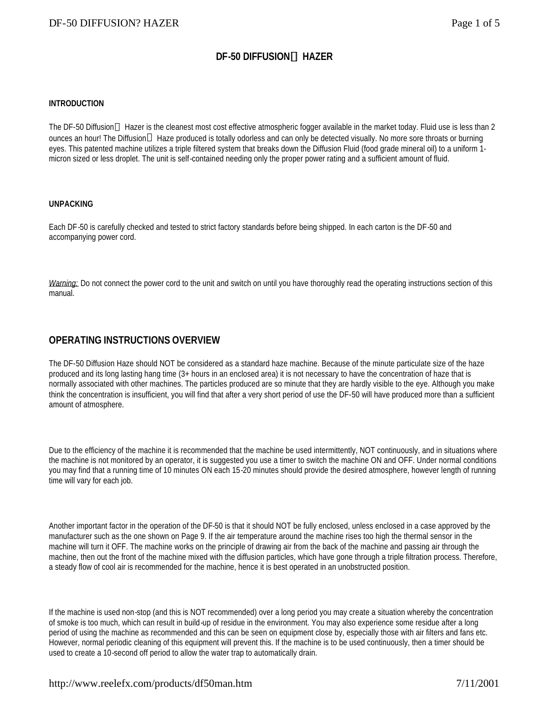# **DF-50 DIFFUSIONÔ HAZER**

#### **INTRODUCTION**

The DF-50 Diffusion™ Hazer is the cleanest most cost effective atmospheric fogger available in the market today. Fluid use is less than 2 ounces an hour! The Diffusion™ Haze produced is totally odorless and can only be detected visually. No more sore throats or burning eyes. This patented machine utilizes a triple filtered system that breaks down the Diffusion Fluid (food grade mineral oil) to a uniform 1 micron sized or less droplet. The unit is self-contained needing only the proper power rating and a sufficient amount of fluid.

#### **UNPACKING**

Each DF-50 is carefully checked and tested to strict factory standards before being shipped. In each carton is the DF-50 and accompanying power cord.

*Warning:* Do not connect the power cord to the unit and switch on until you have thoroughly read the operating instructions section of this manual.

## **OPERATING INSTRUCTIONS OVERVIEW**

The DF-50 Diffusion Haze should NOT be considered as a standard haze machine. Because of the minute particulate size of the haze produced and its long lasting hang time (3+ hours in an enclosed area) it is not necessary to have the concentration of haze that is normally associated with other machines. The particles produced are so minute that they are hardly visible to the eye. Although you make think the concentration is insufficient, you will find that after a very short period of use the DF-50 will have produced more than a sufficient amount of atmosphere.

Due to the efficiency of the machine it is recommended that the machine be used intermittently, NOT continuously, and in situations where the machine is not monitored by an operator, it is suggested you use a timer to switch the machine ON and OFF. Under normal conditions you may find that a running time of 10 minutes ON each 15-20 minutes should provide the desired atmosphere, however length of running time will vary for each job.

Another important factor in the operation of the DF-50 is that it should NOT be fully enclosed, unless enclosed in a case approved by the manufacturer such as the one shown on Page 9. If the air temperature around the machine rises too high the thermal sensor in the machine will turn it OFF. The machine works on the principle of drawing air from the back of the machine and passing air through the machine, then out the front of the machine mixed with the diffusion particles, which have gone through a triple filtration process. Therefore, a steady flow of cool air is recommended for the machine, hence it is best operated in an unobstructed position.

If the machine is used non-stop (and this is NOT recommended) over a long period you may create a situation whereby the concentration of smoke is too much, which can result in build-up of residue in the environment. You may also experience some residue after a long period of using the machine as recommended and this can be seen on equipment close by, especially those with air filters and fans etc. However, normal periodic cleaning of this equipment will prevent this. If the machine is to be used continuously, then a timer should be used to create a 10-second off period to allow the water trap to automatically drain.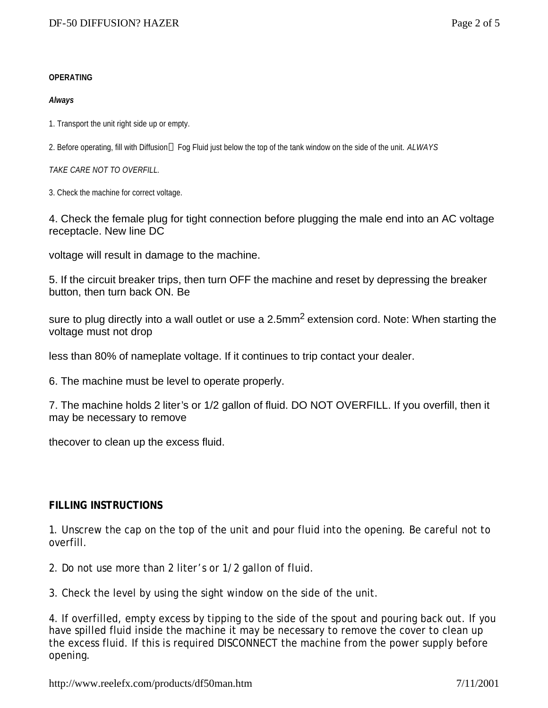## **OPERATING**

## *Always*

1. Transport the unit right side up or empty.

2. Before operating, fill with Diffusion<sup>™</sup> Fog Fluid just below the top of the tank window on the side of the unit. *ALWAYS* 

*TAKE CARE NOT TO OVERFILL.*

3. Check the machine for correct voltage.

4. Check the female plug for tight connection before plugging the male end into an AC voltage receptacle. New line DC

voltage will result in damage to the machine.

5. If the circuit breaker trips, then turn OFF the machine and reset by depressing the breaker button, then turn back ON. Be

sure to plug directly into a wall outlet or use a 2.5mm<sup>2</sup> extension cord. Note: When starting the voltage must not drop

less than 80% of nameplate voltage. If it continues to trip contact your dealer.

6. The machine must be level to operate properly.

7. The machine holds 2 liter's or 1/2 gallon of fluid. DO NOT OVERFILL. If you overfill, then it may be necessary to remove

thecover to clean up the excess fluid.

# **FILLING INSTRUCTIONS**

1. Unscrew the cap on the top of the unit and pour fluid into the opening. Be careful not to overfill.

2. Do not use more than 2 liter's or 1/2 gallon of fluid.

3. Check the level by using the sight window on the side of the unit.

4. If overfilled, empty excess by tipping to the side of the spout and pouring back out. If you have spilled fluid inside the machine it may be necessary to remove the cover to clean up the excess fluid. If this is required DISCONNECT the machine from the power supply before opening.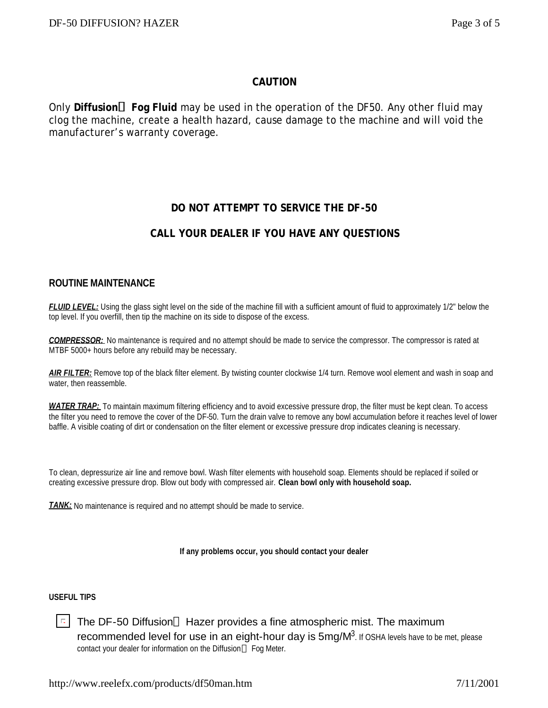# **CAUTION**

Only **DiffusionÔ Fog Fluid** may be used in the operation of the DF50. Any other fluid may clog the machine, create a health hazard, cause damage to the machine and will void the manufacturer's warranty coverage.

# **DO NOT ATTEMPT TO SERVICE THE DF-50**

# **CALL YOUR DEALER IF YOU HAVE ANY QUESTIONS**

## **ROUTINE MAINTENANCE**

*FLUID LEVEL:* Using the glass sight level on the side of the machine fill with a sufficient amount of fluid to approximately 1/2" below the top level. If you overfill, then tip the machine on its side to dispose of the excess.

*COMPRESSOR:* No maintenance is required and no attempt should be made to service the compressor. The compressor is rated at MTBF 5000+ hours before any rebuild may be necessary.

*AIR FILTER:* Remove top of the black filter element. By twisting counter clockwise 1/4 turn. Remove wool element and wash in soap and water, then reassemble.

*WATER TRAP:* To maintain maximum filtering efficiency and to avoid excessive pressure drop, the filter must be kept clean. To access the filter you need to remove the cover of the DF-50. Turn the drain valve to remove any bowl accumulation before it reaches level of lower baffle. A visible coating of dirt or condensation on the filter element or excessive pressure drop indicates cleaning is necessary.

To clean, depressurize air line and remove bowl. Wash filter elements with household soap. Elements should be replaced if soiled or creating excessive pressure drop. Blow out body with compressed air. **Clean bowl only with household soap.**

**TANK:** No maintenance is required and no attempt should be made to service.

**If any problems occur, you should contact your dealer**

### **USEFUL TIPS**

 $\Box$ The DF-50 Diffusion<sup>TM</sup> Hazer provides a fine atmospheric mist. The maximum recommended level for use in an eight-hour day is  $5$ mg/ $M^3$ . If OSHA levels have to be met, please contact your dealer for information on the Diffusion™ Fog Meter.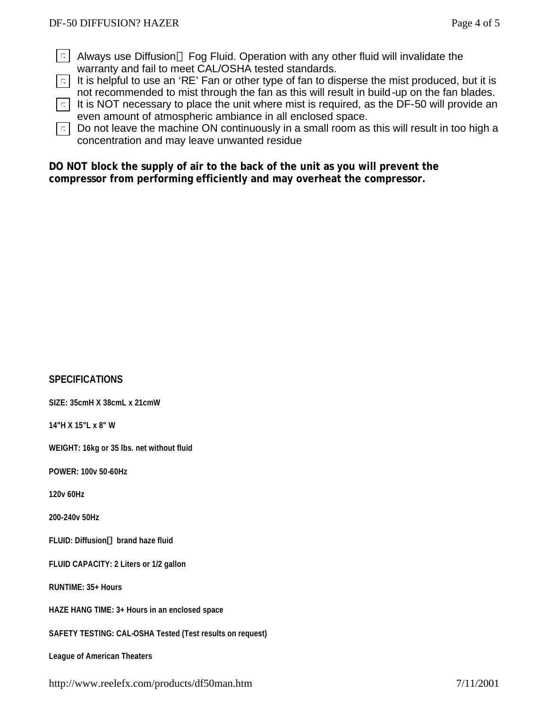- $\lceil$  Always use Diffusion<sup>TM</sup> Fog Fluid. Operation with any other fluid will invalidate the warranty and fail to meet CAL/OSHA tested standards.
- $\boxed{E}$  It is helpful to use an 'RE' Fan or other type of fan to disperse the mist produced, but it is not recommended to mist through the fan as this will result in build-up on the fan blades.
- $\lceil \cdot \rceil$  It is NOT necessary to place the unit where mist is required, as the DF-50 will provide an even amount of atmospheric ambiance in all enclosed space.
- $\overline{E}$  Do not leave the machine ON continuously in a small room as this will result in too high a concentration and may leave unwanted residue

## **DO NOT block the supply of air to the back of the unit as you will prevent the compressor from performing efficiently and may overheat the compressor.**

# **SPECIFICATIONS**

**SIZE: 35cmH X 38cmL x 21cmW**

**14"H X 15"L x 8" W**

**WEIGHT: 16kg or 35 lbs. net without fluid**

**POWER: 100v 50-60Hz**

**120v 60Hz**

**200-240v 50Hz**

**FLUID: DiffusionÔ brand haze fluid**

**FLUID CAPACITY: 2 Liters or 1/2 gallon**

**RUNTIME: 35+ Hours**

**HAZE HANG TIME: 3+ Hours in an enclosed space**

**SAFETY TESTING: CAL-OSHA Tested (Test results on request)**

**League of American Theaters**